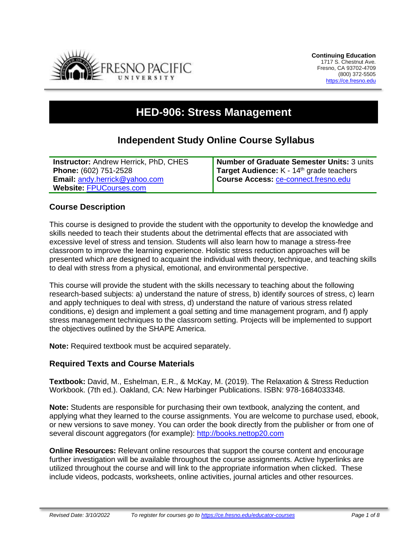

# **HED-906: Stress Management**

## **Independent Study Online Course Syllabus**

| <b>Instructor: Andrew Herrick, PhD, CHES</b> | <b>Number of Graduate Semester Units: 3 units</b>    |
|----------------------------------------------|------------------------------------------------------|
| Phone: (602) 751-2528                        | Target Audience: K - 14 <sup>th</sup> grade teachers |
| <b>Email: andy.herrick@yahoo.com</b>         | Course Access: ce-connect.fresno.edu                 |
| Website: FPUCourses.com                      |                                                      |

#### **Course Description**

This course is designed to provide the student with the opportunity to develop the knowledge and skills needed to teach their students about the detrimental effects that are associated with excessive level of stress and tension. Students will also learn how to manage a stress-free classroom to improve the learning experience. Holistic stress reduction approaches will be presented which are designed to acquaint the individual with theory, technique, and teaching skills to deal with stress from a physical, emotional, and environmental perspective.

This course will provide the student with the skills necessary to teaching about the following research-based subjects: a) understand the nature of stress, b) identify sources of stress, c) learn and apply techniques to deal with stress, d) understand the nature of various stress related conditions, e) design and implement a goal setting and time management program, and f) apply stress management techniques to the classroom setting. Projects will be implemented to support the objectives outlined by the SHAPE America.

**Note:** Required textbook must be acquired separately.

#### **Required Texts and Course Materials**

**Textbook:** David, M., Eshelman, E.R., & McKay, M. (2019). The Relaxation & Stress Reduction Workbook. (7th ed.). Oakland, CA: New Harbinger Publications. ISBN: 978-1684033348.

**Note:** Students are responsible for purchasing their own textbook, analyzing the content, and applying what they learned to the course assignments. You are welcome to purchase used, ebook, or new versions to save money. You can order the book directly from the publisher or from one of several discount aggregators (for example): [http://books.nettop20.com](http://books.nettop20.com/)

**Online Resources:** Relevant online resources that support the course content and encourage further investigation will be available throughout the course assignments. Active hyperlinks are utilized throughout the course and will link to the appropriate information when clicked. These include videos, podcasts, worksheets, online activities, journal articles and other resources.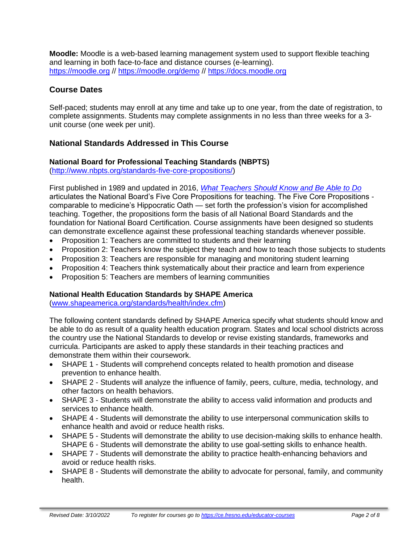**Moodle:** Moodle is a web-based learning management system used to support flexible teaching and learning in both face-to-face and distance courses (e-learning). [https://moodle.org](https://moodle.org/) // <https://moodle.org/demo> // [https://docs.moodle.org](https://docs.moodle.org/)

## **Course Dates**

Self-paced; students may enroll at any time and take up to one year, from the date of registration, to complete assignments. Students may complete assignments in no less than three weeks for a 3 unit course (one week per unit).

## **National Standards Addressed in This Course**

#### **National Board for Professional Teaching Standards (NBPTS)**

[\(http://www.nbpts.org/standards-five-core-propositions/\)](http://www.nbpts.org/standards-five-core-propositions/)

First published in 1989 and updated in 2016, *[What Teachers Should Know and Be Able to Do](http://www.accomplishedteacher.org/)* articulates the National Board's Five Core Propositions for teaching. The Five Core Propositions comparable to medicine's Hippocratic Oath — set forth the profession's vision for accomplished teaching. Together, the propositions form the basis of all National Board Standards and the foundation for National Board Certification. Course assignments have been designed so students can demonstrate excellence against these professional teaching standards whenever possible.

- Proposition 1: Teachers are committed to students and their learning
- Proposition 2: Teachers know the subject they teach and how to teach those subjects to students
- Proposition 3: Teachers are responsible for managing and monitoring student learning
- Proposition 4: Teachers think systematically about their practice and learn from experience
- Proposition 5: Teachers are members of learning communities

## **National Health Education Standards by SHAPE America**

[\(www.shapeamerica.org/standards/health/index.cfm\)](http://www.shapeamerica.org/standards/health/index.cfm)

The following content standards defined by SHAPE America specify what students should know and be able to do as result of a quality health education program. States and local school districts across the country use the National Standards to develop or revise existing standards, frameworks and curricula. Participants are asked to apply these standards in their teaching practices and demonstrate them within their coursework.

- SHAPE 1 Students will comprehend concepts related to health promotion and disease prevention to enhance health.
- SHAPE 2 Students will analyze the influence of family, peers, culture, media, technology, and other factors on health behaviors.
- SHAPE 3 Students will demonstrate the ability to access valid information and products and services to enhance health.
- SHAPE 4 Students will demonstrate the ability to use interpersonal communication skills to enhance health and avoid or reduce health risks.
- SHAPE 5 Students will demonstrate the ability to use decision-making skills to enhance health. SHAPE 6 - Students will demonstrate the ability to use goal-setting skills to enhance health.
- SHAPE 7 Students will demonstrate the ability to practice health-enhancing behaviors and avoid or reduce health risks.
- SHAPE 8 Students will demonstrate the ability to advocate for personal, family, and community health.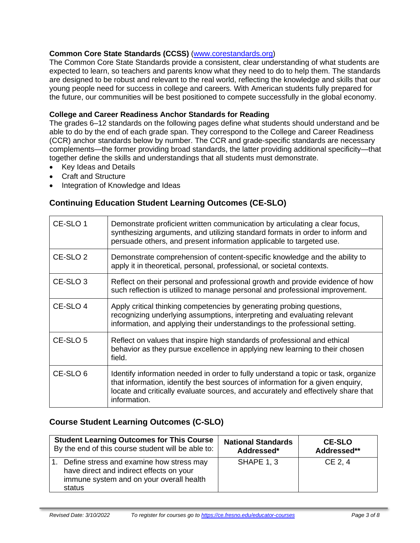#### **Common Core State Standards (CCSS)** [\(www.corestandards.org\)](http://www.corestandards.org/)

The Common Core State Standards provide a consistent, clear understanding of what students are expected to learn, so teachers and parents know what they need to do to help them. The standards are designed to be robust and relevant to the real world, reflecting the knowledge and skills that our young people need for success in college and careers. With American students fully prepared for the future, our communities will be best positioned to compete successfully in the global economy.

#### **College and Career Readiness Anchor Standards for Reading**

The grades 6–12 standards on the following pages define what students should understand and be able to do by the end of each grade span. They correspond to the College and Career Readiness (CCR) anchor standards below by number. The CCR and grade-specific standards are necessary complements—the former providing broad standards, the latter providing additional specificity—that together define the skills and understandings that all students must demonstrate.

- Key Ideas and Details
- Craft and Structure
- Integration of Knowledge and Ideas

## **Continuing Education Student Learning Outcomes (CE-SLO)**

| CE-SLO 1            | Demonstrate proficient written communication by articulating a clear focus,<br>synthesizing arguments, and utilizing standard formats in order to inform and<br>persuade others, and present information applicable to targeted use.                                       |
|---------------------|----------------------------------------------------------------------------------------------------------------------------------------------------------------------------------------------------------------------------------------------------------------------------|
| CE-SLO <sub>2</sub> | Demonstrate comprehension of content-specific knowledge and the ability to<br>apply it in theoretical, personal, professional, or societal contexts.                                                                                                                       |
| CE-SLO <sub>3</sub> | Reflect on their personal and professional growth and provide evidence of how<br>such reflection is utilized to manage personal and professional improvement.                                                                                                              |
| CE-SLO 4            | Apply critical thinking competencies by generating probing questions,<br>recognizing underlying assumptions, interpreting and evaluating relevant<br>information, and applying their understandings to the professional setting.                                           |
| CE-SLO <sub>5</sub> | Reflect on values that inspire high standards of professional and ethical<br>behavior as they pursue excellence in applying new learning to their chosen<br>field.                                                                                                         |
| CE-SLO <sub>6</sub> | Identify information needed in order to fully understand a topic or task, organize<br>that information, identify the best sources of information for a given enquiry,<br>locate and critically evaluate sources, and accurately and effectively share that<br>information. |

## **Course Student Learning Outcomes (C-SLO)**

| <b>Student Learning Outcomes for This Course</b>                                                                                           | <b>National Standards</b> | <b>CE-SLO</b> |
|--------------------------------------------------------------------------------------------------------------------------------------------|---------------------------|---------------|
| By the end of this course student will be able to:                                                                                         | Addressed*                | Addressed**   |
| Define stress and examine how stress may<br>have direct and indirect effects on your<br>immune system and on your overall health<br>status | <b>SHAPE 1, 3</b>         | CE 2, 4       |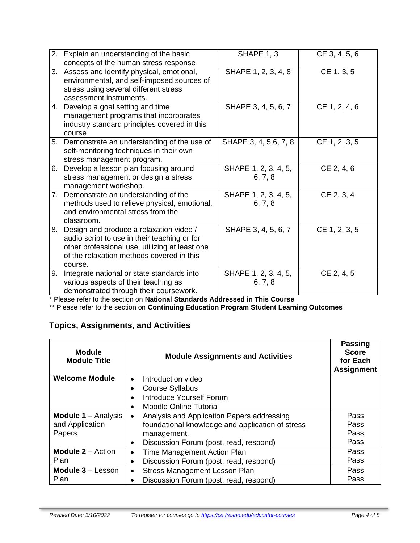| 2. | Explain an understanding of the basic<br>concepts of the human stress response                                                                                                                    | SHAPE 1, 3                      | CE 3, 4, 5, 6 |
|----|---------------------------------------------------------------------------------------------------------------------------------------------------------------------------------------------------|---------------------------------|---------------|
|    | 3. Assess and identify physical, emotional,<br>environmental, and self-imposed sources of<br>stress using several different stress<br>assessment instruments.                                     | SHAPE 1, 2, 3, 4, 8             | CE 1, 3, 5    |
|    | 4. Develop a goal setting and time<br>management programs that incorporates<br>industry standard principles covered in this<br>course                                                             | SHAPE 3, 4, 5, 6, 7             | CE 1, 2, 4, 6 |
|    | 5. Demonstrate an understanding of the use of<br>self-monitoring techniques in their own<br>stress management program.                                                                            | SHAPE 3, 4, 5, 6, 7, 8          | CE 1, 2, 3, 5 |
| 6. | Develop a lesson plan focusing around<br>stress management or design a stress<br>management workshop.                                                                                             | SHAPE 1, 2, 3, 4, 5,<br>6, 7, 8 | CE 2, 4, 6    |
|    | 7. Demonstrate an understanding of the<br>methods used to relieve physical, emotional,<br>and environmental stress from the<br>classroom.                                                         | SHAPE 1, 2, 3, 4, 5,<br>6, 7, 8 | CE 2, 3, 4    |
| 8. | Design and produce a relaxation video /<br>audio script to use in their teaching or for<br>other professional use, utilizing at least one<br>of the relaxation methods covered in this<br>course. | SHAPE 3, 4, 5, 6, 7             | CE 1, 2, 3, 5 |
| 9. | Integrate national or state standards into<br>various aspects of their teaching as<br>demonstrated through their coursework.                                                                      | SHAPE 1, 2, 3, 4, 5,<br>6, 7, 8 | CE 2, 4, 5    |

\* Please refer to the section on **National Standards Addressed in This Course**

\*\* Please refer to the section on **Continuing Education Program Student Learning Outcomes**

## **Topics, Assignments, and Activities**

| <b>Module</b><br><b>Module Title</b>  | <b>Module Assignments and Activities</b>            | <b>Passing</b><br><b>Score</b><br>for Each<br><b>Assignment</b> |
|---------------------------------------|-----------------------------------------------------|-----------------------------------------------------------------|
| <b>Welcome Module</b>                 | Introduction video<br>$\bullet$                     |                                                                 |
|                                       | <b>Course Syllabus</b>                              |                                                                 |
|                                       | Introduce Yourself Forum                            |                                                                 |
|                                       | <b>Moodle Online Tutorial</b>                       |                                                                 |
| <b>Module 1</b> $-$ Analysis          | Analysis and Application Papers addressing          | Pass                                                            |
| and Application                       | foundational knowledge and application of stress    | Pass                                                            |
| Papers                                | management.                                         | Pass                                                            |
|                                       | Discussion Forum (post, read, respond)<br>$\bullet$ | Pass                                                            |
| <b>Module <math>2 -</math></b> Action | Time Management Action Plan<br>$\bullet$            | Pass                                                            |
| <b>Plan</b>                           | Discussion Forum (post, read, respond)<br>$\bullet$ | Pass                                                            |
| <b>Module <math>3 -</math>Lesson</b>  | Stress Management Lesson Plan<br>$\bullet$          | Pass                                                            |
| Plan                                  | Discussion Forum (post, read, respond)              | Pass                                                            |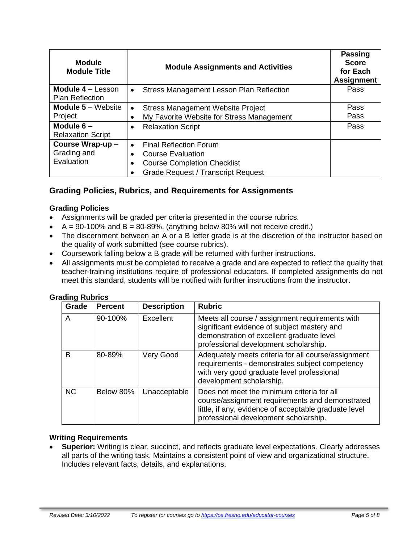| <b>Module</b><br><b>Module Title</b>        | <b>Module Assignments and Activities</b>              | <b>Passing</b><br><b>Score</b><br>for Each<br><b>Assignment</b> |
|---------------------------------------------|-------------------------------------------------------|-----------------------------------------------------------------|
| Module 4 - Lesson<br><b>Plan Reflection</b> | Stress Management Lesson Plan Reflection<br>$\bullet$ | Pass                                                            |
| <b>Module <math>5 -</math></b> Website      | <b>Stress Management Website Project</b><br>$\bullet$ | Pass                                                            |
| Project                                     | My Favorite Website for Stress Management             | Pass                                                            |
| Module $6-$<br><b>Relaxation Script</b>     | <b>Relaxation Script</b><br>$\bullet$                 | Pass                                                            |
| Course Wrap-up-                             | <b>Final Reflection Forum</b><br>$\bullet$            |                                                                 |
| Grading and                                 | <b>Course Evaluation</b>                              |                                                                 |
| Evaluation                                  | <b>Course Completion Checklist</b>                    |                                                                 |
|                                             | <b>Grade Request / Transcript Request</b>             |                                                                 |

## **Grading Policies, Rubrics, and Requirements for Assignments**

#### **Grading Policies**

- Assignments will be graded per criteria presented in the course rubrics.
- $A = 90-100\%$  and  $B = 80-89\%$ , (anything below 80% will not receive credit.)
- The discernment between an A or a B letter grade is at the discretion of the instructor based on the quality of work submitted (see course rubrics).
- Coursework falling below a B grade will be returned with further instructions.
- All assignments must be completed to receive a grade and are expected to reflect the quality that teacher-training institutions require of professional educators. If completed assignments do not meet this standard, students will be notified with further instructions from the instructor.

| Grade     | <b>Percent</b> | <b>Description</b> | <b>Rubric</b>                                                                                                                                                                                   |
|-----------|----------------|--------------------|-------------------------------------------------------------------------------------------------------------------------------------------------------------------------------------------------|
| A         | 90-100%        | Excellent          | Meets all course / assignment requirements with<br>significant evidence of subject mastery and<br>demonstration of excellent graduate level<br>professional development scholarship.            |
| в         | 80-89%         | Very Good          | Adequately meets criteria for all course/assignment<br>requirements - demonstrates subject competency<br>with very good graduate level professional<br>development scholarship.                 |
| <b>NC</b> | Below 80%      | Unacceptable       | Does not meet the minimum criteria for all<br>course/assignment requirements and demonstrated<br>little, if any, evidence of acceptable graduate level<br>professional development scholarship. |

#### **Grading Rubrics**

#### **Writing Requirements**

• **Superior:** Writing is clear, succinct, and reflects graduate level expectations. Clearly addresses all parts of the writing task. Maintains a consistent point of view and organizational structure. Includes relevant facts, details, and explanations.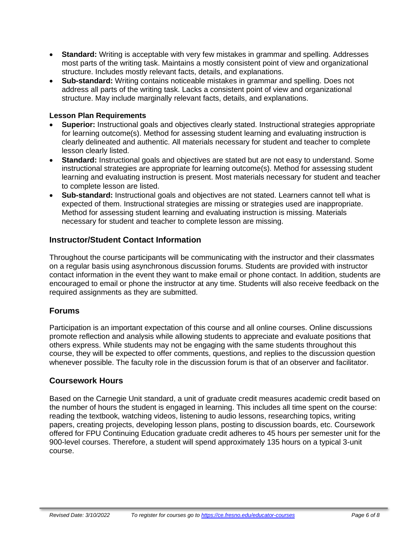- **Standard:** Writing is acceptable with very few mistakes in grammar and spelling. Addresses most parts of the writing task. Maintains a mostly consistent point of view and organizational structure. Includes mostly relevant facts, details, and explanations.
- **Sub-standard:** Writing contains noticeable mistakes in grammar and spelling. Does not address all parts of the writing task. Lacks a consistent point of view and organizational structure. May include marginally relevant facts, details, and explanations.

#### **Lesson Plan Requirements**

- **Superior:** Instructional goals and objectives clearly stated. Instructional strategies appropriate for learning outcome(s). Method for assessing student learning and evaluating instruction is clearly delineated and authentic. All materials necessary for student and teacher to complete lesson clearly listed.
- **Standard:** Instructional goals and objectives are stated but are not easy to understand. Some instructional strategies are appropriate for learning outcome(s). Method for assessing student learning and evaluating instruction is present. Most materials necessary for student and teacher to complete lesson are listed.
- **Sub-standard:** Instructional goals and objectives are not stated. Learners cannot tell what is expected of them. Instructional strategies are missing or strategies used are inappropriate. Method for assessing student learning and evaluating instruction is missing. Materials necessary for student and teacher to complete lesson are missing.

#### **Instructor/Student Contact Information**

Throughout the course participants will be communicating with the instructor and their classmates on a regular basis using asynchronous discussion forums. Students are provided with instructor contact information in the event they want to make email or phone contact. In addition, students are encouraged to email or phone the instructor at any time. Students will also receive feedback on the required assignments as they are submitted.

## **Forums**

Participation is an important expectation of this course and all online courses. Online discussions promote reflection and analysis while allowing students to appreciate and evaluate positions that others express. While students may not be engaging with the same students throughout this course, they will be expected to offer comments, questions, and replies to the discussion question whenever possible. The faculty role in the discussion forum is that of an observer and facilitator.

#### **Coursework Hours**

Based on the Carnegie Unit standard, a unit of graduate credit measures academic credit based on the number of hours the student is engaged in learning. This includes all time spent on the course: reading the textbook, watching videos, listening to audio lessons, researching topics, writing papers, creating projects, developing lesson plans, posting to discussion boards, etc. Coursework offered for FPU Continuing Education graduate credit adheres to 45 hours per semester unit for the 900-level courses. Therefore, a student will spend approximately 135 hours on a typical 3-unit course.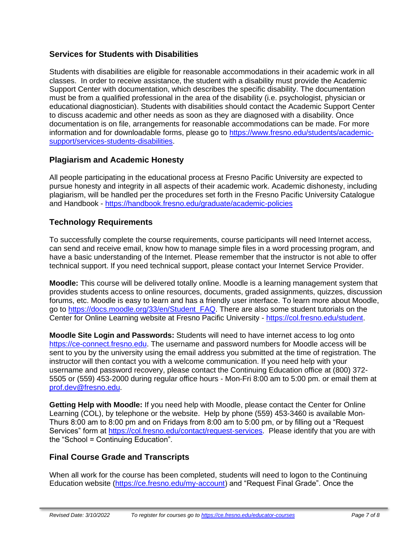## **Services for Students with Disabilities**

Students with disabilities are eligible for reasonable accommodations in their academic work in all classes. In order to receive assistance, the student with a disability must provide the Academic Support Center with documentation, which describes the specific disability. The documentation must be from a qualified professional in the area of the disability (i.e. psychologist, physician or educational diagnostician). Students with disabilities should contact the Academic Support Center to discuss academic and other needs as soon as they are diagnosed with a disability. Once documentation is on file, arrangements for reasonable accommodations can be made. For more information and for downloadable forms, please go to [https://www.fresno.edu/students/academic](https://www.fresno.edu/students/academic-support/services-students-disabilities)[support/services-students-disabilities.](https://www.fresno.edu/students/academic-support/services-students-disabilities)

## **Plagiarism and Academic Honesty**

All people participating in the educational process at Fresno Pacific University are expected to pursue honesty and integrity in all aspects of their academic work. Academic dishonesty, including plagiarism, will be handled per the procedures set forth in the Fresno Pacific University Catalogue and Handbook - <https://handbook.fresno.edu/graduate/academic-policies>

## **Technology Requirements**

To successfully complete the course requirements, course participants will need Internet access, can send and receive email, know how to manage simple files in a word processing program, and have a basic understanding of the Internet. Please remember that the instructor is not able to offer technical support. If you need technical support, please contact your Internet Service Provider.

**Moodle:** This course will be delivered totally online. Moodle is a learning management system that provides students access to online resources, documents, graded assignments, quizzes, discussion forums, etc. Moodle is easy to learn and has a friendly user interface. To learn more about Moodle, go to [https://docs.moodle.org/33/en/Student\\_FAQ.](https://docs.moodle.org/33/en/Student_FAQ) There are also some student tutorials on the Center for Online Learning website at Fresno Pacific University - [https://col.fresno.edu/student.](https://col.fresno.edu/student)

**Moodle Site Login and Passwords:** Students will need to have internet access to log onto [https://ce-connect.fresno.edu.](https://ce-connect.fresno.edu/) The username and password numbers for Moodle access will be sent to you by the university using the email address you submitted at the time of registration. The instructor will then contact you with a welcome communication. If you need help with your username and password recovery, please contact the Continuing Education office at (800) 372- 5505 or (559) 453-2000 during regular office hours - Mon-Fri 8:00 am to 5:00 pm. or email them at [prof.dev@fresno.edu.](mailto:prof.dev@fresno.edu)

**Getting Help with Moodle:** If you need help with Moodle, please contact the Center for Online Learning (COL), by telephone or the website. Help by phone (559) 453-3460 is available Mon-Thurs 8:00 am to 8:00 pm and on Fridays from 8:00 am to 5:00 pm, or by filling out a "Request Services" form at [https://col.fresno.edu/contact/request-services.](https://col.fresno.edu/contact/request-services) Please identify that you are with the "School = Continuing Education".

## **Final Course Grade and Transcripts**

When all work for the course has been completed, students will need to logon to the Continuing Education website [\(https://ce.fresno.edu/my-account\)](https://ce.fresno.edu/my-account) and "Request Final Grade". Once the